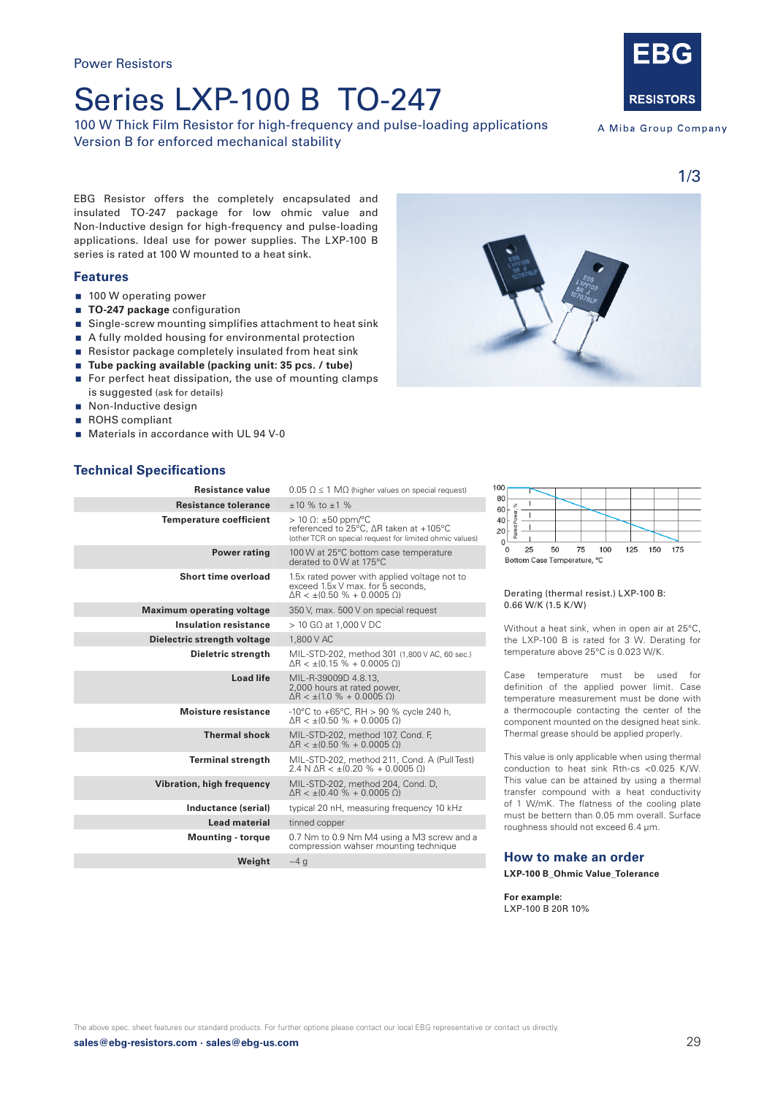## Series LXP-100 B TO-247

100 W Thick Film Resistor for high-frequency and pulse-loading applications Version B for enforced mechanical stability



A Miba Group Company

EBG Resistor offers the completely encapsulated and insulated TO-247 package for low ohmic value and Non-Inductive design for high-frequency and pulse-loading applications. Ideal use for power supplies. The LXP-100 B series is rated at 100 W mounted to a heat sink.

### **Features**

- 100 W operating power
- **TO-247 package** configuration
- Single-screw mounting simplifies attachment to heat sink
- A fully molded housing for environmental protection
- Resistor package completely insulated from heat sink
- **Tube packing available (packing unit: 35 pcs. / tube)**
- For perfect heat dissipation, the use of mounting clamps is suggested (ask for details)
- Non-Inductive design
- ROHS compliant
- Materials in accordance with UL 94 V-0

## **Technical Specifications**

| Resistance value                 | $0.05 \Omega \leq 1 \text{ M}\Omega$ (higher values on special request)                                                         |
|----------------------------------|---------------------------------------------------------------------------------------------------------------------------------|
| <b>Resistance tolerance</b>      | $±10 \%$ to $±1 \%$                                                                                                             |
| <b>Temperature coefficient</b>   | $> 10 \Omega$ : ±50 ppm/°C<br>referenced to 25°C, ∆R taken at +105°C<br>(other TCR on special request for limited ohmic values) |
| <b>Power rating</b>              | 100 W at 25°C bottom case temperature<br>derated to 0 W at 175°C                                                                |
| <b>Short time overload</b>       | 1.5x rated power with applied voltage not to<br>exceed 1.5x V max. for 5 seconds,<br>$AR < + (0.50 \% + 0.0005 O)$              |
| <b>Maximum operating voltage</b> | 350 V, max. 500 V on special request                                                                                            |
| <b>Insulation resistance</b>     | $>$ 10 GQ at 1.000 V DC                                                                                                         |
| Dielectric strength voltage      | 1,800 V AC                                                                                                                      |
| Dieletric strength               | MIL-STD-202, method 301 (1,800 V AC, 60 sec.)<br>$\Delta R < \pm (0.15\% + 0.0005\ \Omega)$                                     |
| <b>Load life</b>                 | MIL-R-39009D 4.8.13,<br>2,000 hours at rated power,<br>$\Delta$ R < ±(1.0 % + 0.0005 $\Omega$ )                                 |
| <b>Moisture resistance</b>       | -10°C to +65°C, RH > 90 % cycle 240 h,<br>$\Delta R < \pm (0.50\% + 0.0005\ \Omega)$                                            |
| <b>Thermal shock</b>             | MIL-STD-202, method 107, Cond. F,<br>$\Delta R < \pm (0.50\% + 0.0005\ \Omega)$                                                 |
| <b>Terminal strength</b>         | MIL-STD-202, method 211, Cond. A (Pull Test)<br>$2.4 N \Delta R < \pm (0.20 \% + 0.0005 \Omega)$                                |
| Vibration, high frequency        | MIL-STD-202, method 204, Cond. D,<br>$\Delta R < \pm (0.40\% + 0.0005\ \Omega)$                                                 |
| Inductance (serial)              | typical 20 nH, measuring frequency 10 kHz                                                                                       |
| <b>Lead material</b>             | tinned copper                                                                                                                   |
| <b>Mounting - torque</b>         | 0.7 Nm to 0.9 Nm M4 using a M3 screw and a<br>compression wahser mounting technique                                             |
| Weight                           | $~1$ a                                                                                                                          |

| 100                         |     |    |    |  |      |     |  |     |  |     |     |  |
|-----------------------------|-----|----|----|--|------|-----|--|-----|--|-----|-----|--|
| 80                          |     |    |    |  |      |     |  |     |  |     |     |  |
| 60                          |     |    |    |  |      |     |  |     |  |     |     |  |
| 40                          |     |    |    |  |      |     |  |     |  |     |     |  |
| 20                          | ate |    |    |  |      |     |  |     |  |     |     |  |
|                             |     |    |    |  |      |     |  |     |  |     |     |  |
| n                           |     | 25 | 50 |  | - 75 | 100 |  | 125 |  | 150 | 175 |  |
| Bottom Case Temperature, °C |     |    |    |  |      |     |  |     |  |     |     |  |

#### Derating (thermal resist.) LXP-100 B: 0.66 W/K (1.5 K/W)

Without a heat sink, when in open air at 25°C, the LXP-100 B is rated for 3 W. Derating for temperature above 25°C is 0.023 W/K.

Case temperature must be used for definition of the applied power limit. Case temperature measurement must be done with a thermocouple contacting the center of the component mounted on the designed heat sink. Thermal grease should be applied properly.

This value is only applicable when using thermal conduction to heat sink Rth-cs <0.025 K/W. This value can be attained by using a thermal transfer compound with a heat conductivity of 1 W/mK. The flatness of the cooling plate must be bettern than 0.05 mm overall. Surface roughness should not exceed 6.4 µm.

#### **How to make an order**

**LXP-100 B\_Ohmic Value\_Tolerance**

**For example:**  LXP-100 B 20R 10%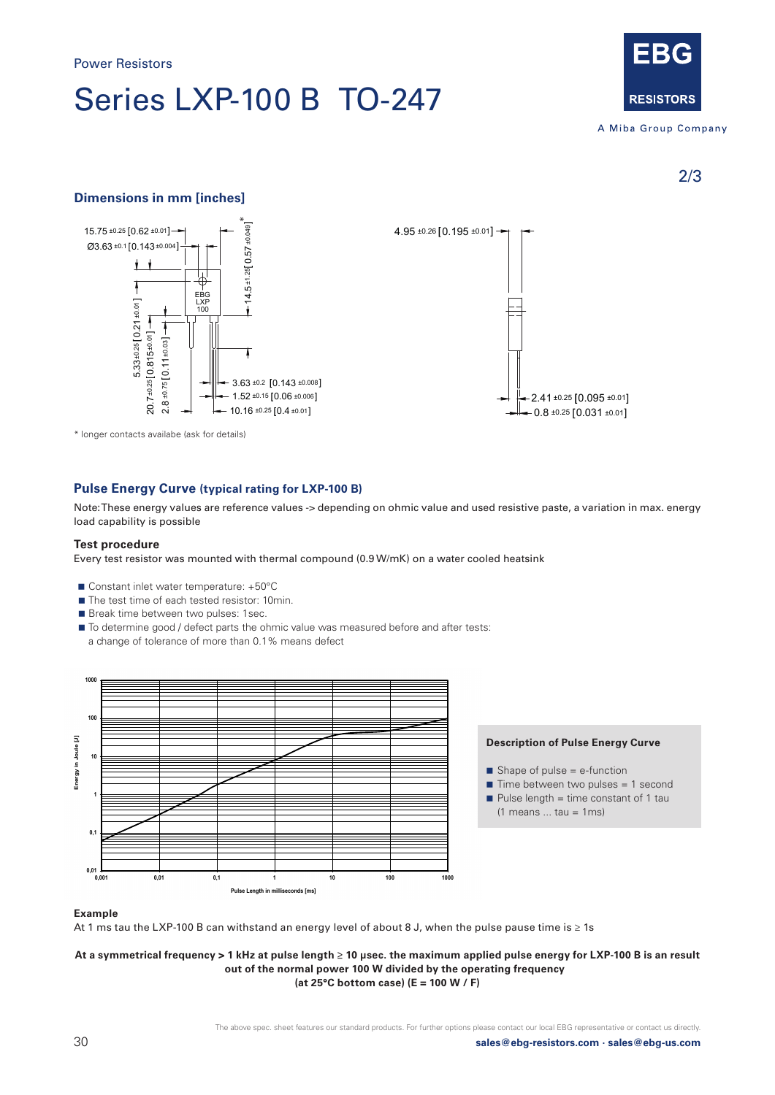# Series LXP-100 B TO-247



A Miba Group Company

2/3

## **Dimensions in mm [inches]**



\* longer contacts availabe (ask for details)

### **Pulse Energy Curve (typical rating for LXP-100 B)**

Note: These energy values are reference values -> depending on ohmic value and used resistive paste, a variation in max. energy load capability is possible

#### **Test procedure**

Every test resistor was mounted with thermal compound (0.9 W/mK) on a water cooled heatsink

- Constant inlet water temperature: +50°C
- The test time of each tested resistor: 10min.
- Break time between two pulses: 1sec.
- $\blacksquare$  To determine good / defect parts the ohmic value was measured before and after tests:
- a change of tolerance of more than 0.1% means defect





- $\blacksquare$  Shape of pulse = e-function
- $\blacksquare$  Time between two pulses = 1 second
- $\blacksquare$  Pulse length = time constant of 1 tau
	- $(1$  means ... tau = 1ms)

#### **Example**

At 1 ms tau the LXP-100 B can withstand an energy level of about 8 J, when the pulse pause time is ≥ 1s

**At a symmetrical frequency > 1 kHz at pulse length ≥ 10 µsec. the maximum applied pulse energy for LXP-100 B is an result out of the normal power 100 W divided by the operating frequency (at 25°C bottom case) (E = 100 W / F)**